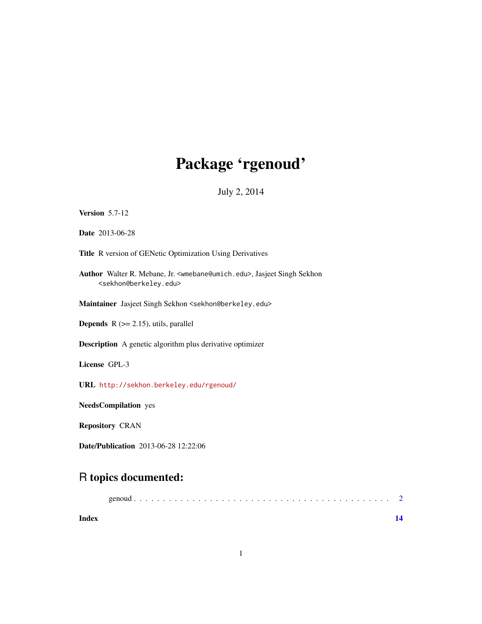# Package 'rgenoud'

July 2, 2014

<span id="page-0-0"></span>

| <b>Version 5.7-12</b>                                                                                                                      |
|--------------------------------------------------------------------------------------------------------------------------------------------|
| <b>Date</b> 2013-06-28                                                                                                                     |
| Title R version of GENetic Optimization Using Derivatives                                                                                  |
| Author Walter R. Mebane, Jr. <wmebane@umich.edu>, Jasjeet Singh Sekhon<br/><sekhon@berkeley.edu></sekhon@berkeley.edu></wmebane@umich.edu> |
| Maintainer Jasjeet Singh Sekhon <sekhon@berkeley.edu></sekhon@berkeley.edu>                                                                |
| <b>Depends</b> $R$ ( $> = 2.15$ ), utils, parallel                                                                                         |
| <b>Description</b> A genetic algorithm plus derivative optimizer                                                                           |
| License GPL-3                                                                                                                              |
| URL http://sekhon.berkeley.edu/rgenoud/                                                                                                    |
| <b>NeedsCompilation</b> yes                                                                                                                |
| <b>Repository CRAN</b>                                                                                                                     |
| <b>Date/Publication</b> 2013-06-28 12:22:06                                                                                                |

### R topics documented:

| Index |  |
|-------|--|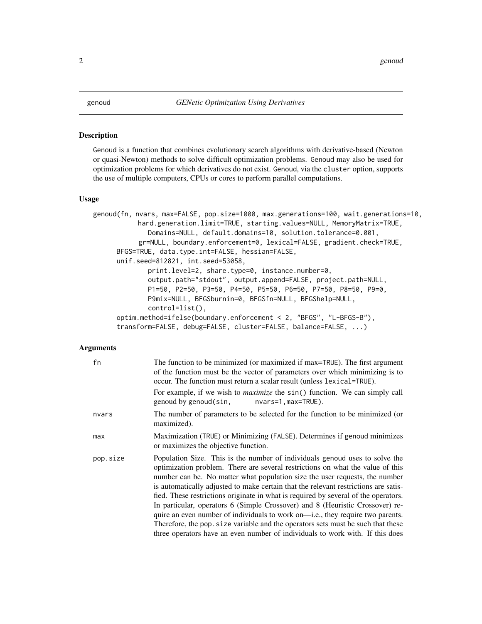#### <span id="page-1-0"></span>Description

Genoud is a function that combines evolutionary search algorithms with derivative-based (Newton or quasi-Newton) methods to solve difficult optimization problems. Genoud may also be used for optimization problems for which derivatives do not exist. Genoud, via the cluster option, supports the use of multiple computers, CPUs or cores to perform parallel computations.

#### Usage

```
genoud(fn, nvars, max=FALSE, pop.size=1000, max.generations=100, wait.generations=10,
           hard.generation.limit=TRUE, starting.values=NULL, MemoryMatrix=TRUE,
              Domains=NULL, default.domains=10, solution.tolerance=0.001,
           gr=NULL, boundary.enforcement=0, lexical=FALSE, gradient.check=TRUE,
     BFGS=TRUE, data.type.int=FALSE, hessian=FALSE,
     unif.seed=812821, int.seed=53058,
              print.level=2, share.type=0, instance.number=0,
              output.path="stdout", output.append=FALSE, project.path=NULL,
              P1=50, P2=50, P3=50, P4=50, P5=50, P6=50, P7=50, P8=50, P9=0,
              P9mix=NULL, BFGSburnin=0, BFGSfn=NULL, BFGShelp=NULL,
              control=list(),
     optim.method=ifelse(boundary.enforcement < 2, "BFGS", "L-BFGS-B"),
     transform=FALSE, debug=FALSE, cluster=FALSE, balance=FALSE, ...)
```
#### Arguments

| fn       | The function to be minimized (or maximized if max=TRUE). The first argument<br>of the function must be the vector of parameters over which minimizing is to<br>occur. The function must return a scalar result (unless lexical=TRUE).                                                                                                                                                                                                                                                                                                                                                                                                                                                                                                                              |
|----------|--------------------------------------------------------------------------------------------------------------------------------------------------------------------------------------------------------------------------------------------------------------------------------------------------------------------------------------------------------------------------------------------------------------------------------------------------------------------------------------------------------------------------------------------------------------------------------------------------------------------------------------------------------------------------------------------------------------------------------------------------------------------|
|          | For example, if we wish to <i>maximize</i> the sin() function. We can simply call<br>genoud by genoud(sin,<br>nvars=1, max=TRUE).                                                                                                                                                                                                                                                                                                                                                                                                                                                                                                                                                                                                                                  |
| nvars    | The number of parameters to be selected for the function to be minimized (or<br>maximized).                                                                                                                                                                                                                                                                                                                                                                                                                                                                                                                                                                                                                                                                        |
| max      | Maximization (TRUE) or Minimizing (FALSE). Determines if genoud minimizes<br>or maximizes the objective function.                                                                                                                                                                                                                                                                                                                                                                                                                                                                                                                                                                                                                                                  |
| pop.size | Population Size. This is the number of individuals genoud uses to solve the<br>optimization problem. There are several restrictions on what the value of this<br>number can be. No matter what population size the user requests, the number<br>is automatically adjusted to make certain that the relevant restrictions are satis-<br>fied. These restrictions originate in what is required by several of the operators.<br>In particular, operators 6 (Simple Crossover) and 8 (Heuristic Crossover) re-<br>quire an even number of individuals to work on—i.e., they require two parents.<br>Therefore, the pop. size variable and the operators sets must be such that these<br>three operators have an even number of individuals to work with. If this does |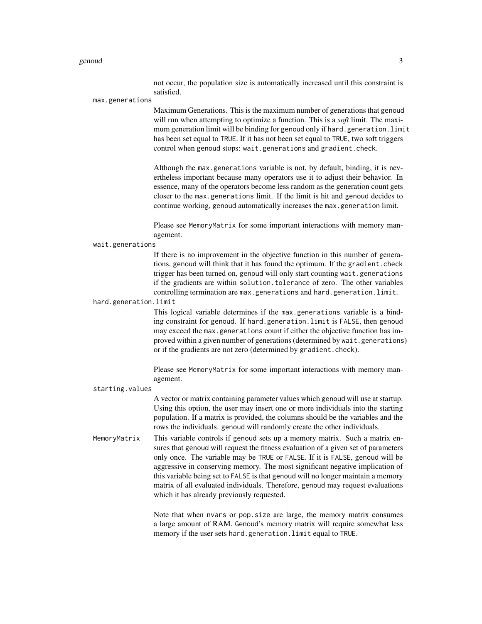#### genoud  $\sim$  3

not occur, the population size is automatically increased until this constraint is satisfied.

max.generations

Maximum Generations. This is the maximum number of generations that genoud will run when attempting to optimize a function. This is a *soft* limit. The maximum generation limit will be binding for genoud only if hard.generation.limit has been set equal to TRUE. If it has not been set equal to TRUE, two soft triggers control when genoud stops: wait.generations and gradient.check.

Although the max.generations variable is not, by default, binding, it is nevertheless important because many operators use it to adjust their behavior. In essence, many of the operators become less random as the generation count gets closer to the max.generations limit. If the limit is hit and genoud decides to continue working, genoud automatically increases the max.generation limit.

Please see MemoryMatrix for some important interactions with memory management.

wait.generations

If there is no improvement in the objective function in this number of generations, genoud will think that it has found the optimum. If the gradient.check trigger has been turned on, genoud will only start counting wait.generations if the gradients are within solution.tolerance of zero. The other variables controlling termination are max.generations and hard.generation.limit.

hard.generation.limit

This logical variable determines if the max.generations variable is a binding constraint for genoud. If hard.generation.limit is FALSE, then genoud may exceed the max.generations count if either the objective function has improved within a given number of generations (determined by wait.generations) or if the gradients are not zero (determined by gradient.check).

Please see MemoryMatrix for some important interactions with memory management.

starting.values

A vector or matrix containing parameter values which genoud will use at startup. Using this option, the user may insert one or more individuals into the starting population. If a matrix is provided, the columns should be the variables and the rows the individuals. genoud will randomly create the other individuals.

MemoryMatrix This variable controls if genoud sets up a memory matrix. Such a matrix ensures that genoud will request the fitness evaluation of a given set of parameters only once. The variable may be TRUE or FALSE. If it is FALSE, genoud will be aggressive in conserving memory. The most significant negative implication of this variable being set to FALSE is that genoud will no longer maintain a memory matrix of all evaluated individuals. Therefore, genoud may request evaluations which it has already previously requested.

> Note that when nvars or pop.size are large, the memory matrix consumes a large amount of RAM. Genoud's memory matrix will require somewhat less memory if the user sets hard.generation.limit equal to TRUE.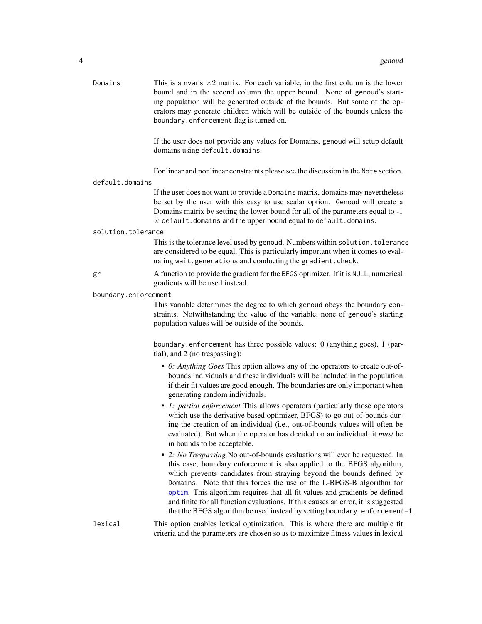<span id="page-3-0"></span>

| Domains              | This is a nvars $\times 2$ matrix. For each variable, in the first column is the lower<br>bound and in the second column the upper bound. None of genoud's start-<br>ing population will be generated outside of the bounds. But some of the op-<br>erators may generate children which will be outside of the bounds unless the<br>boundary.enforcement flag is turned on.                                                                                                                                                                             |
|----------------------|---------------------------------------------------------------------------------------------------------------------------------------------------------------------------------------------------------------------------------------------------------------------------------------------------------------------------------------------------------------------------------------------------------------------------------------------------------------------------------------------------------------------------------------------------------|
|                      | If the user does not provide any values for Domains, genoud will setup default<br>domains using default.domains.                                                                                                                                                                                                                                                                                                                                                                                                                                        |
|                      | For linear and nonlinear constraints please see the discussion in the Note section.                                                                                                                                                                                                                                                                                                                                                                                                                                                                     |
| default.domains      |                                                                                                                                                                                                                                                                                                                                                                                                                                                                                                                                                         |
|                      | If the user does not want to provide a Domains matrix, domains may nevertheless<br>be set by the user with this easy to use scalar option. Genoud will create a<br>Domains matrix by setting the lower bound for all of the parameters equal to -1<br>$\times$ default. domains and the upper bound equal to default. domains.                                                                                                                                                                                                                          |
| solution.tolerance   |                                                                                                                                                                                                                                                                                                                                                                                                                                                                                                                                                         |
|                      | This is the tolerance level used by genoud. Numbers within solution. tolerance<br>are considered to be equal. This is particularly important when it comes to eval-<br>uating wait.generations and conducting the gradient.check.                                                                                                                                                                                                                                                                                                                       |
| gr                   | A function to provide the gradient for the BFGS optimizer. If it is NULL, numerical<br>gradients will be used instead.                                                                                                                                                                                                                                                                                                                                                                                                                                  |
| boundary.enforcement |                                                                                                                                                                                                                                                                                                                                                                                                                                                                                                                                                         |
|                      | This variable determines the degree to which genoud obeys the boundary con-<br>straints. Notwithstanding the value of the variable, none of genoud's starting<br>population values will be outside of the bounds.                                                                                                                                                                                                                                                                                                                                       |
|                      | boundary.enforcement has three possible values: $0$ (anything goes), $1$ (par-<br>tial), and 2 (no trespassing):                                                                                                                                                                                                                                                                                                                                                                                                                                        |
|                      | • 0: Anything Goes This option allows any of the operators to create out-of-<br>bounds individuals and these individuals will be included in the population<br>if their fit values are good enough. The boundaries are only important when<br>generating random individuals.                                                                                                                                                                                                                                                                            |
|                      | • 1: partial enforcement This allows operators (particularly those operators<br>which use the derivative based optimizer, BFGS) to go out-of-bounds dur-<br>ing the creation of an individual (i.e., out-of-bounds values will often be<br>evaluated). But when the operator has decided on an individual, it <i>must</i> be<br>in bounds to be acceptable.                                                                                                                                                                                             |
|                      | • 2: No Trespassing No out-of-bounds evaluations will ever be requested. In<br>this case, boundary enforcement is also applied to the BFGS algorithm,<br>which prevents candidates from straying beyond the bounds defined by<br>Domains. Note that this forces the use of the L-BFGS-B algorithm for<br>optim. This algorithm requires that all fit values and gradients be defined<br>and finite for all function evaluations. If this causes an error, it is suggested<br>that the BFGS algorithm be used instead by setting boundary.enforcement=1. |
| lexical              | This option enables lexical optimization. This is where there are multiple fit<br>criteria and the parameters are chosen so as to maximize fitness values in lexical                                                                                                                                                                                                                                                                                                                                                                                    |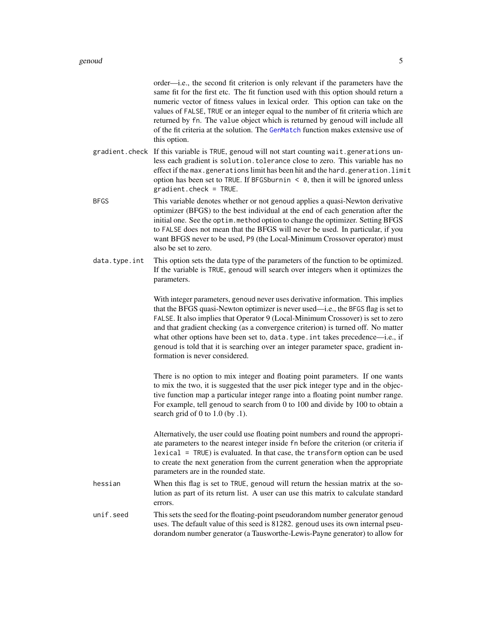<span id="page-4-0"></span>order—i.e., the second fit criterion is only relevant if the parameters have the same fit for the first etc. The fit function used with this option should return a numeric vector of fitness values in lexical order. This option can take on the values of FALSE, TRUE or an integer equal to the number of fit criteria which are returned by fn. The value object which is returned by genoud will include all of the fit criteria at the solution. The [GenMatch](#page-0-0) function makes extensive use of this option.

- gradient.check If this variable is TRUE, genoud will not start counting wait.generations unless each gradient is solution.tolerance close to zero. This variable has no effect if the max.generations limit has been hit and the hard.generation.limit option has been set to TRUE. If BFGSburnin  $\leq \theta$ , then it will be ignored unless gradient.check = TRUE.
- BFGS This variable denotes whether or not genoud applies a quasi-Newton derivative optimizer (BFGS) to the best individual at the end of each generation after the initial one. See the optim.method option to change the optimizer. Setting BFGS to FALSE does not mean that the BFGS will never be used. In particular, if you want BFGS never to be used, P9 (the Local-Minimum Crossover operator) must also be set to zero.
- data.type.int This option sets the data type of the parameters of the function to be optimized. If the variable is TRUE, genoud will search over integers when it optimizes the parameters.

With integer parameters, genoud never uses derivative information. This implies that the BFGS quasi-Newton optimizer is never used—i.e., the BFGS flag is set to FALSE. It also implies that Operator 9 (Local-Minimum Crossover) is set to zero and that gradient checking (as a convergence criterion) is turned off. No matter what other options have been set to, data.type.int takes precedence—i.e., if genoud is told that it is searching over an integer parameter space, gradient information is never considered.

There is no option to mix integer and floating point parameters. If one wants to mix the two, it is suggested that the user pick integer type and in the objective function map a particular integer range into a floating point number range. For example, tell genoud to search from 0 to 100 and divide by 100 to obtain a search grid of 0 to 1.0 (by .1).

Alternatively, the user could use floating point numbers and round the appropriate parameters to the nearest integer inside fn before the criterion (or criteria if lexical = TRUE) is evaluated. In that case, the transform option can be used to create the next generation from the current generation when the appropriate parameters are in the rounded state.

- hessian When this flag is set to TRUE, genoud will return the hessian matrix at the solution as part of its return list. A user can use this matrix to calculate standard errors.
- unif.seed This sets the seed for the floating-point pseudorandom number generator genoud uses. The default value of this seed is 81282. genoud uses its own internal pseudorandom number generator (a Tausworthe-Lewis-Payne generator) to allow for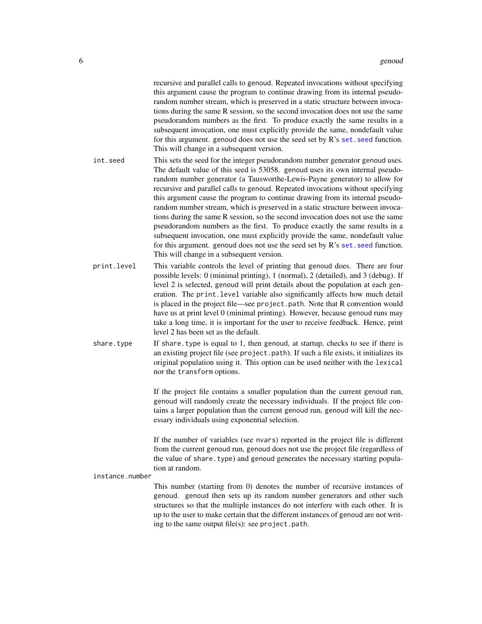<span id="page-5-0"></span>

|                 | recursive and parallel calls to genoud. Repeated invocations without specifying<br>this argument cause the program to continue drawing from its internal pseudo-<br>random number stream, which is preserved in a static structure between invoca-<br>tions during the same R session, so the second invocation does not use the same<br>pseudorandom numbers as the first. To produce exactly the same results in a<br>subsequent invocation, one must explicitly provide the same, nondefault value<br>for this argument. genoud does not use the seed set by R's set. seed function.<br>This will change in a subsequent version.                                                                                                                                                                                                                                                |
|-----------------|-------------------------------------------------------------------------------------------------------------------------------------------------------------------------------------------------------------------------------------------------------------------------------------------------------------------------------------------------------------------------------------------------------------------------------------------------------------------------------------------------------------------------------------------------------------------------------------------------------------------------------------------------------------------------------------------------------------------------------------------------------------------------------------------------------------------------------------------------------------------------------------|
| int.seed        | This sets the seed for the integer pseudorandom number generator genoud uses.<br>The default value of this seed is 53058. genoud uses its own internal pseudo-<br>random number generator (a Tausworthe-Lewis-Payne generator) to allow for<br>recursive and parallel calls to genoud. Repeated invocations without specifying<br>this argument cause the program to continue drawing from its internal pseudo-<br>random number stream, which is preserved in a static structure between invoca-<br>tions during the same R session, so the second invocation does not use the same<br>pseudorandom numbers as the first. To produce exactly the same results in a<br>subsequent invocation, one must explicitly provide the same, nondefault value<br>for this argument. genoud does not use the seed set by R's set. seed function.<br>This will change in a subsequent version. |
| print.level     | This variable controls the level of printing that genoud does. There are four<br>possible levels: 0 (minimal printing), 1 (normal), 2 (detailed), and 3 (debug). If<br>level 2 is selected, genoud will print details about the population at each gen-<br>eration. The print. level variable also significantly affects how much detail<br>is placed in the project file—see project.path. Note that R convention would<br>have us at print level 0 (minimal printing). However, because genoud runs may<br>take a long time, it is important for the user to receive feedback. Hence, print<br>level 2 has been set as the default.                                                                                                                                                                                                                                               |
| share.type      | If share type is equal to 1, then genoud, at startup, checks to see if there is<br>an existing project file (see project.path). If such a file exists, it initializes its<br>original population using it. This option can be used neither with the lexical<br>nor the transform options.                                                                                                                                                                                                                                                                                                                                                                                                                                                                                                                                                                                           |
|                 | If the project file contains a smaller population than the current genoud run,<br>genoud will randomly create the necessary individuals. If the project file con-<br>tains a larger population than the current genoud run, genoud will kill the nec-<br>essary individuals using exponential selection.                                                                                                                                                                                                                                                                                                                                                                                                                                                                                                                                                                            |
|                 | If the number of variables (see nvars) reported in the project file is different<br>from the current genoud run, genoud does not use the project file (regardless of<br>the value of share. type) and genoud generates the necessary starting popula-<br>tion at random.                                                                                                                                                                                                                                                                                                                                                                                                                                                                                                                                                                                                            |
| instance.number | This number (starting from 0) denotes the number of recursive instances of<br>genoud. genoud then sets up its random number generators and other such<br>structures so that the multiple instances do not interfere with each other. It is                                                                                                                                                                                                                                                                                                                                                                                                                                                                                                                                                                                                                                          |

genoud. genoud then sets up its random number generators and other such structures so that the multiple instances do not interfere with each other. It is up to the user to make certain that the different instances of genoud are not writing to the same output file(s): see project.path.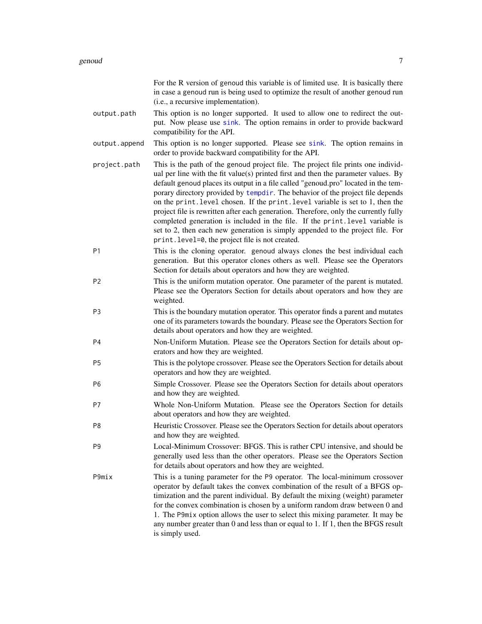<span id="page-6-0"></span>

|                | For the R version of genoud this variable is of limited use. It is basically there<br>in case a genoud run is being used to optimize the result of another genoud run<br>(i.e., a recursive implementation).                                                                                                                                                                                                                                                                                                                                                                                                                                                                                                                                     |
|----------------|--------------------------------------------------------------------------------------------------------------------------------------------------------------------------------------------------------------------------------------------------------------------------------------------------------------------------------------------------------------------------------------------------------------------------------------------------------------------------------------------------------------------------------------------------------------------------------------------------------------------------------------------------------------------------------------------------------------------------------------------------|
| output.path    | This option is no longer supported. It used to allow one to redirect the out-<br>put. Now please use sink. The option remains in order to provide backward<br>compatibility for the API.                                                                                                                                                                                                                                                                                                                                                                                                                                                                                                                                                         |
| output.append  | This option is no longer supported. Please see sink. The option remains in<br>order to provide backward compatibility for the API.                                                                                                                                                                                                                                                                                                                                                                                                                                                                                                                                                                                                               |
| project.path   | This is the path of the genoud project file. The project file prints one individ-<br>ual per line with the fit value(s) printed first and then the parameter values. By<br>default genoud places its output in a file called "genoud.pro" located in the tem-<br>porary directory provided by tempdir. The behavior of the project file depends<br>on the print. level chosen. If the print. level variable is set to 1, then the<br>project file is rewritten after each generation. Therefore, only the currently fully<br>completed generation is included in the file. If the print. level variable is<br>set to 2, then each new generation is simply appended to the project file. For<br>print. level=0, the project file is not created. |
| P1             | This is the cloning operator. genoud always clones the best individual each<br>generation. But this operator clones others as well. Please see the Operators<br>Section for details about operators and how they are weighted.                                                                                                                                                                                                                                                                                                                                                                                                                                                                                                                   |
| P <sub>2</sub> | This is the uniform mutation operator. One parameter of the parent is mutated.<br>Please see the Operators Section for details about operators and how they are<br>weighted.                                                                                                                                                                                                                                                                                                                                                                                                                                                                                                                                                                     |
| P <sub>3</sub> | This is the boundary mutation operator. This operator finds a parent and mutates<br>one of its parameters towards the boundary. Please see the Operators Section for<br>details about operators and how they are weighted.                                                                                                                                                                                                                                                                                                                                                                                                                                                                                                                       |
| P <sub>4</sub> | Non-Uniform Mutation. Please see the Operators Section for details about op-<br>erators and how they are weighted.                                                                                                                                                                                                                                                                                                                                                                                                                                                                                                                                                                                                                               |
| P <sub>5</sub> | This is the polytope crossover. Please see the Operators Section for details about<br>operators and how they are weighted.                                                                                                                                                                                                                                                                                                                                                                                                                                                                                                                                                                                                                       |
| P <sub>6</sub> | Simple Crossover. Please see the Operators Section for details about operators<br>and how they are weighted.                                                                                                                                                                                                                                                                                                                                                                                                                                                                                                                                                                                                                                     |
| P7             | Whole Non-Uniform Mutation. Please see the Operators Section for details<br>about operators and how they are weighted.                                                                                                                                                                                                                                                                                                                                                                                                                                                                                                                                                                                                                           |
| P8             | Heuristic Crossover. Please see the Operators Section for details about operators<br>and how they are weighted.                                                                                                                                                                                                                                                                                                                                                                                                                                                                                                                                                                                                                                  |
| P <sub>9</sub> | Local-Minimum Crossover: BFGS. This is rather CPU intensive, and should be<br>generally used less than the other operators. Please see the Operators Section<br>for details about operators and how they are weighted.                                                                                                                                                                                                                                                                                                                                                                                                                                                                                                                           |
| P9mix          | This is a tuning parameter for the P9 operator. The local-minimum crossover<br>operator by default takes the convex combination of the result of a BFGS op-<br>timization and the parent individual. By default the mixing (weight) parameter<br>for the convex combination is chosen by a uniform random draw between 0 and<br>1. The P9mix option allows the user to select this mixing parameter. It may be<br>any number greater than 0 and less than or equal to 1. If 1, then the BFGS result<br>is simply used.                                                                                                                                                                                                                           |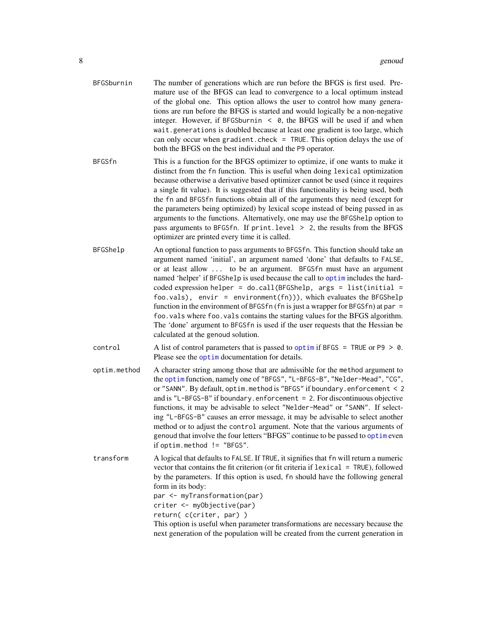- <span id="page-7-0"></span>BFGSburnin The number of generations which are run before the BFGS is first used. Premature use of the BFGS can lead to convergence to a local optimum instead of the global one. This option allows the user to control how many generations are run before the BFGS is started and would logically be a non-negative integer. However, if BFGSburnin  $\leq$  0, the BFGS will be used if and when wait.generations is doubled because at least one gradient is too large, which can only occur when gradient.check = TRUE. This option delays the use of both the BFGS on the best individual and the P9 operator.
- BFGSfn This is a function for the BFGS optimizer to optimize, if one wants to make it distinct from the fn function. This is useful when doing lexical optimization because otherwise a derivative based optimizer cannot be used (since it requires a single fit value). It is suggested that if this functionality is being used, both the fn and BFGSfn functions obtain all of the arguments they need (except for the parameters being optimized) by lexical scope instead of being passed in as arguments to the functions. Alternatively, one may use the BFGShelp option to pass arguments to BFGSfn. If print.level  $> 2$ , the results from the BFGS optimizer are printed every time it is called.
- BFGShelp An optional function to pass arguments to BFGSfn. This function should take an argument named 'initial', an argument named 'done' that defaults to FALSE, or at least allow ... to be an argument. BFGSfn must have an argument named 'helper' if BFGShelp is used because the call to [optim](#page-0-0) includes the hardcoded expression helper = do.call(BFGShelp, args = list(initial = foo.vals), envir = environment $(fn)$ ), which evaluates the BFGShelp function in the environment of BFGSfn (fn is just a wrapper for BFGSfn) at par = foo.vals where foo.vals contains the starting values for the BFGS algorithm. The 'done' argument to BFGSfn is used if the user requests that the Hessian be calculated at the genoud solution.
- control A list of control parameters that is passed to [optim](#page-0-0) if BFGS = TRUE or P9  $> 0$ . Please see the [optim](#page-0-0) documentation for details.
- optim.method A character string among those that are admissible for the method argument to the [optim](#page-0-0) function, namely one of "BFGS", "L-BFGS-B", "Nelder-Mead", "CG", or "SANN". By default, optim.method is "BFGS" if boundary.enforcement < 2 and is "L-BFGS-B" if boundary.enforcement = 2. For discontinuous objective functions, it may be advisable to select "Nelder-Mead" or "SANN". If selecting "L-BFGS-B" causes an error message, it may be advisable to select another method or to adjust the control argument. Note that the various arguments of genoud that involve the four letters "BFGS" continue to be passed to [optim](#page-0-0) even if optim.method != "BFGS".
- transform A logical that defaults to FALSE. If TRUE, it signifies that fn will return a numeric vector that contains the fit criterion (or fit criteria if lexical = TRUE), followed by the parameters. If this option is used, fn should have the following general form in its body:

par <- myTransformation(par)

criter <- myObjective(par)

return( c(criter, par) )

This option is useful when parameter transformations are necessary because the next generation of the population will be created from the current generation in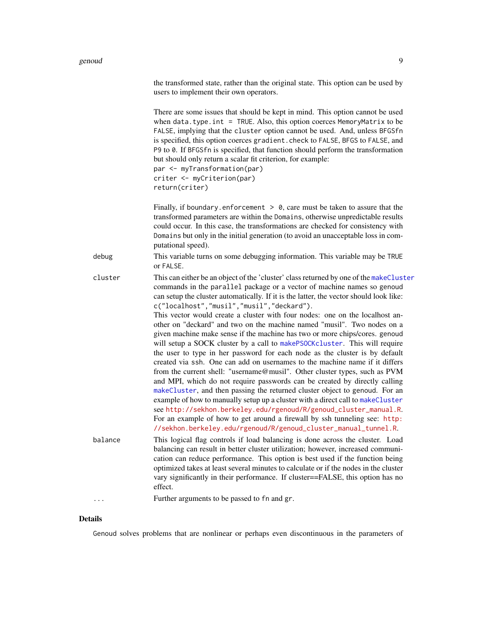#### <span id="page-8-0"></span>genoud **9** and 20 and 20 and 20 and 20 and 20 and 20 and 20 and 20 and 20 and 20 and 20 and 20 and 20 and 20 and 20 and 20 and 20 and 20 and 20 and 20 and 20 and 20 and 20 and 20 and 20 and 20 and 20 and 20 and 20 and 20 a

|         | the transformed state, rather than the original state. This option can be used by<br>users to implement their own operators.                                                                                                                                                                                                                                                                                                                                                                                                                                                                                                                                                                                                                                                                                                                                                                                                                                                                                                                                                                                                                                                                                                                                                                                                                       |
|---------|----------------------------------------------------------------------------------------------------------------------------------------------------------------------------------------------------------------------------------------------------------------------------------------------------------------------------------------------------------------------------------------------------------------------------------------------------------------------------------------------------------------------------------------------------------------------------------------------------------------------------------------------------------------------------------------------------------------------------------------------------------------------------------------------------------------------------------------------------------------------------------------------------------------------------------------------------------------------------------------------------------------------------------------------------------------------------------------------------------------------------------------------------------------------------------------------------------------------------------------------------------------------------------------------------------------------------------------------------|
|         | There are some issues that should be kept in mind. This option cannot be used<br>when $data.\text{type}.\text{int} = \text{TRUE}.\text{ Also, this option cerees MemoryMatrix to be}$<br>FALSE, implying that the cluster option cannot be used. And, unless BFGSfn<br>is specified, this option coerces gradient. check to FALSE, BFGS to FALSE, and<br>P9 to 0. If BFGSfn is specified, that function should perform the transformation<br>but should only return a scalar fit criterion, for example:<br>par <- myTransformation(par)<br>criter <- myCriterion(par)<br>return(criter)                                                                                                                                                                                                                                                                                                                                                                                                                                                                                                                                                                                                                                                                                                                                                           |
|         | Finally, if boundary.enforcement $> 0$ , care must be taken to assure that the<br>transformed parameters are within the Domains, otherwise unpredictable results<br>could occur. In this case, the transformations are checked for consistency with<br>Domains but only in the initial generation (to avoid an unacceptable loss in com-<br>putational speed).                                                                                                                                                                                                                                                                                                                                                                                                                                                                                                                                                                                                                                                                                                                                                                                                                                                                                                                                                                                     |
| debug   | This variable turns on some debugging information. This variable may be TRUE<br>or FALSE.                                                                                                                                                                                                                                                                                                                                                                                                                                                                                                                                                                                                                                                                                                                                                                                                                                                                                                                                                                                                                                                                                                                                                                                                                                                          |
| cluster | This can either be an object of the 'cluster' class returned by one of the makeCluster<br>commands in the parallel package or a vector of machine names so genoud<br>can setup the cluster automatically. If it is the latter, the vector should look like:<br>c("localhost","musil","musil","deckard").<br>This vector would create a cluster with four nodes: one on the localhost an-<br>other on "deckard" and two on the machine named "musil". Two nodes on a<br>given machine make sense if the machine has two or more chips/cores. genoud<br>will setup a SOCK cluster by a call to makePSOCKcluster. This will require<br>the user to type in her password for each node as the cluster is by default<br>created via ssh. One can add on usernames to the machine name if it differs<br>from the current shell: "username@musil". Other cluster types, such as PVM<br>and MPI, which do not require passwords can be created by directly calling<br>makeCluster, and then passing the returned cluster object to genoud. For an<br>example of how to manually setup up a cluster with a direct call to makeCluster<br>see http://sekhon.berkeley.edu/rgenoud/R/genoud_cluster_manual.R.<br>For an example of how to get around a firewall by ssh tunneling see: http:<br>//sekhon.berkeley.edu/rgenoud/R/genoud_cluster_manual_tunnel.R. |
| balance | This logical flag controls if load balancing is done across the cluster. Load<br>balancing can result in better cluster utilization; however, increased communi-<br>cation can reduce performance. This option is best used if the function being<br>optimized takes at least several minutes to calculate or if the nodes in the cluster<br>vary significantly in their performance. If cluster==FALSE, this option has no<br>effect.                                                                                                                                                                                                                                                                                                                                                                                                                                                                                                                                                                                                                                                                                                                                                                                                                                                                                                             |
| .       | Further arguments to be passed to fn and gr.                                                                                                                                                                                                                                                                                                                                                                                                                                                                                                                                                                                                                                                                                                                                                                                                                                                                                                                                                                                                                                                                                                                                                                                                                                                                                                       |

### Details

Genoud solves problems that are nonlinear or perhaps even discontinuous in the parameters of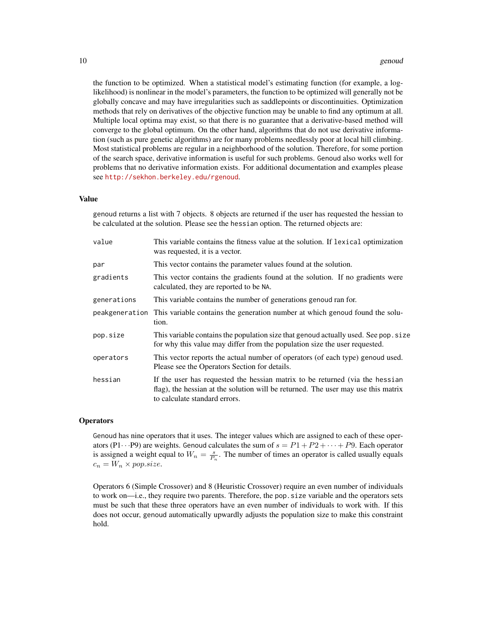the function to be optimized. When a statistical model's estimating function (for example, a loglikelihood) is nonlinear in the model's parameters, the function to be optimized will generally not be globally concave and may have irregularities such as saddlepoints or discontinuities. Optimization methods that rely on derivatives of the objective function may be unable to find any optimum at all. Multiple local optima may exist, so that there is no guarantee that a derivative-based method will converge to the global optimum. On the other hand, algorithms that do not use derivative information (such as pure genetic algorithms) are for many problems needlessly poor at local hill climbing. Most statistical problems are regular in a neighborhood of the solution. Therefore, for some portion of the search space, derivative information is useful for such problems. Genoud also works well for problems that no derivative information exists. For additional documentation and examples please see <http://sekhon.berkeley.edu/rgenoud>.

#### Value

genoud returns a list with 7 objects. 8 objects are returned if the user has requested the hessian to be calculated at the solution. Please see the hessian option. The returned objects are:

| value          | This variable contains the fitness value at the solution. If lexical optimization<br>was requested, it is a vector.                                                                                |
|----------------|----------------------------------------------------------------------------------------------------------------------------------------------------------------------------------------------------|
| par            | This vector contains the parameter values found at the solution.                                                                                                                                   |
| gradients      | This vector contains the gradients found at the solution. If no gradients were<br>calculated, they are reported to be NA.                                                                          |
| generations    | This variable contains the number of generations genoud ran for.                                                                                                                                   |
| peakgeneration | This variable contains the generation number at which genoud found the solu-<br>tion.                                                                                                              |
| pop.size       | This variable contains the population size that genoud actually used. See pop. size<br>for why this value may differ from the population size the user requested.                                  |
| operators      | This vector reports the actual number of operators (of each type) genoud used.<br>Please see the Operators Section for details.                                                                    |
| hessian        | If the user has requested the hessian matrix to be returned (via the hessian<br>flag), the hessian at the solution will be returned. The user may use this matrix<br>to calculate standard errors. |

#### **Operators**

Genoud has nine operators that it uses. The integer values which are assigned to each of these operators (P1 $\cdots$ P9) are weights. Genoud calculates the sum of  $s = P1 + P2 + \cdots + P9$ . Each operator is assigned a weight equal to  $W_n = \frac{s}{P_n}$ . The number of times an operator is called usually equals  $c_n = W_n \times pop.size.$ 

Operators 6 (Simple Crossover) and 8 (Heuristic Crossover) require an even number of individuals to work on—i.e., they require two parents. Therefore, the pop.size variable and the operators sets must be such that these three operators have an even number of individuals to work with. If this does not occur, genoud automatically upwardly adjusts the population size to make this constraint hold.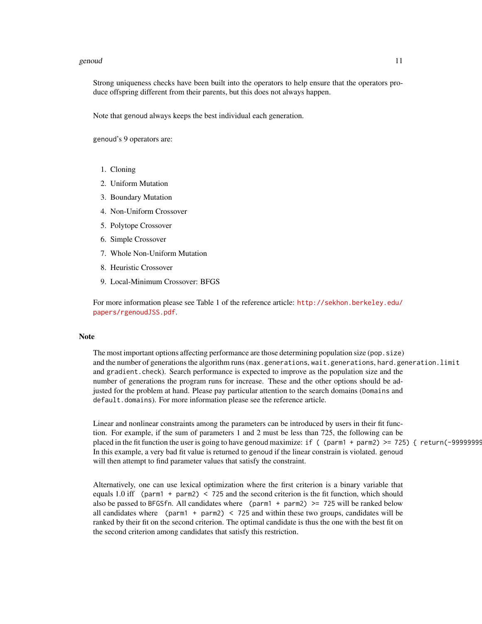#### genoud that the set of the set of the set of the set of the set of the set of the set of the set of the set of the set of the set of the set of the set of the set of the set of the set of the set of the set of the set of t

Strong uniqueness checks have been built into the operators to help ensure that the operators produce offspring different from their parents, but this does not always happen.

Note that genoud always keeps the best individual each generation.

genoud's 9 operators are:

- 1. Cloning
- 2. Uniform Mutation
- 3. Boundary Mutation
- 4. Non-Uniform Crossover
- 5. Polytope Crossover
- 6. Simple Crossover
- 7. Whole Non-Uniform Mutation
- 8. Heuristic Crossover
- 9. Local-Minimum Crossover: BFGS

For more information please see Table 1 of the reference article: [http://sekhon.berkeley.edu/](http://sekhon.berkeley.edu/papers/rgenoudJSS.pdf) [papers/rgenoudJSS.pdf](http://sekhon.berkeley.edu/papers/rgenoudJSS.pdf).

#### **Note**

The most important options affecting performance are those determining population size (pop.size) and the number of generations the algorithm runs (max.generations, wait.generations, hard.generation.limit and gradient.check). Search performance is expected to improve as the population size and the number of generations the program runs for increase. These and the other options should be adjusted for the problem at hand. Please pay particular attention to the search domains (Domains and default.domains). For more information please see the reference article.

Linear and nonlinear constraints among the parameters can be introduced by users in their fit function. For example, if the sum of parameters 1 and 2 must be less than 725, the following can be placed in the fit function the user is going to have genoud maximize: if ( $(parm1 + parm2)$  = 725) { return(-99999999) In this example, a very bad fit value is returned to genoud if the linear constrain is violated. genoud will then attempt to find parameter values that satisfy the constraint.

Alternatively, one can use lexical optimization where the first criterion is a binary variable that equals 1.0 iff (parm1 + parm2)  $\lt$  725 and the second criterion is the fit function, which should also be passed to BFGSfn. All candidates where ( $param1 + parm2$ ) >= 725 will be ranked below all candidates where (parm1 + parm2)  $\lt$  725 and within these two groups, candidates will be ranked by their fit on the second criterion. The optimal candidate is thus the one with the best fit on the second criterion among candidates that satisfy this restriction.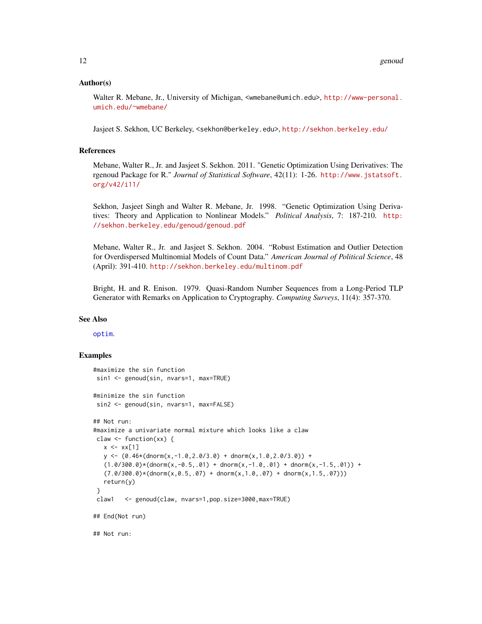#### <span id="page-11-0"></span>Author(s)

Walter R. Mebane, Jr., University of Michigan, <wmebane@umich.edu>, [http://www-personal.](http://www-personal.umich.edu/~wmebane/) [umich.edu/~wmebane/](http://www-personal.umich.edu/~wmebane/)

Jasjeet S. Sekhon, UC Berkeley, <sekhon@berkeley.edu>, <http://sekhon.berkeley.edu/>

#### References

Mebane, Walter R., Jr. and Jasjeet S. Sekhon. 2011. "Genetic Optimization Using Derivatives: The rgenoud Package for R." *Journal of Statistical Software*, 42(11): 1-26. [http://www.jstatsoft.](http://www.jstatsoft.org/v42/i11/) [org/v42/i11/](http://www.jstatsoft.org/v42/i11/)

Sekhon, Jasjeet Singh and Walter R. Mebane, Jr. 1998. "Genetic Optimization Using Derivatives: Theory and Application to Nonlinear Models." *Political Analysis*, 7: 187-210. [http:](http://sekhon.berkeley.edu/genoud/genoud.pdf) [//sekhon.berkeley.edu/genoud/genoud.pdf](http://sekhon.berkeley.edu/genoud/genoud.pdf)

Mebane, Walter R., Jr. and Jasjeet S. Sekhon. 2004. "Robust Estimation and Outlier Detection for Overdispersed Multinomial Models of Count Data." *American Journal of Political Science*, 48 (April): 391-410. <http://sekhon.berkeley.edu/multinom.pdf>

Bright, H. and R. Enison. 1979. Quasi-Random Number Sequences from a Long-Period TLP Generator with Remarks on Application to Cryptography. *Computing Surveys*, 11(4): 357-370.

#### See Also

#### [optim](#page-0-0).

#### Examples

```
#maximize the sin function
sin1 <- genoud(sin, nvars=1, max=TRUE)
#minimize the sin function
sin2 <- genoud(sin, nvars=1, max=FALSE)
## Not run:
#maximize a univariate normal mixture which looks like a claw
claw <- function(xx) {
  x \leftarrow xx[1]y \leftarrow (0.46*(\text{dnorm}(x, -1.0, 2.0/3.0) + \text{dnorm}(x, 1.0, 2.0/3.0)) +(1.0/300.0)*(donorm(x,-0.5,.01) + donorm(x,-1.0,.01) + donorm(x,-1.5,.01)) +(7.0/300.0)*(donorm(x, 0.5, .07) + donorm(x, 1.0, .07) + donorm(x, 1.5, .07)))return(y)
}
claw1 <- genoud(claw, nvars=1,pop.size=3000,max=TRUE)
## End(Not run)
## Not run:
```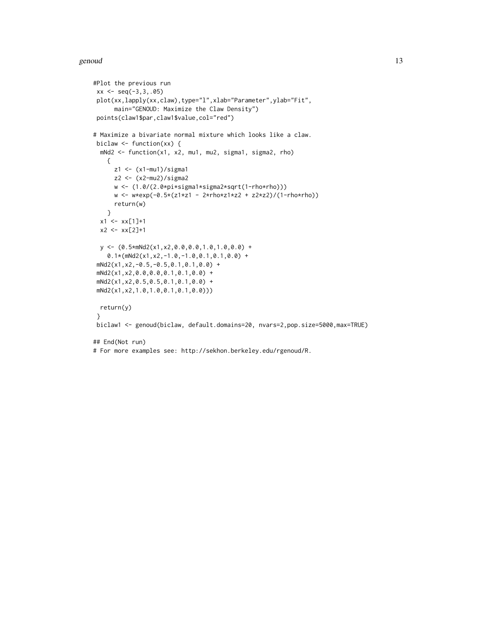#### genoud and the set of the set of the set of the set of the set of the set of the set of the set of the set of the set of the set of the set of the set of the set of the set of the set of the set of the set of the set of th

```
#Plot the previous run
xx \leq -\text{seq}(-3,3,.05)plot(xx,lapply(xx,claw),type="l",xlab="Parameter",ylab="Fit",
      main="GENOUD: Maximize the Claw Density")
points(claw1$par,claw1$value,col="red")
# Maximize a bivariate normal mixture which looks like a claw.
biclaw <- function(xx) {
 mNd2 <- function(x1, x2, mu1, mu2, sigma1, sigma2, rho)
    {
     z1 <- (x1-mu1)/sigma1
     z2 <- (x2-mu2)/sigma2
     w <- (1.0/(2.0*pi*sigma1*sigma2*sqrt(1-rho*rho)))
     w <- w*exp(-0.5*(z1*z1 - 2*rho*z1*z2 + z2*z2)/(1-rho*rho))
     return(w)
   }
 x1 \leftarrow xx[1]+1x2 \le - x \times [2]+1y \leftarrow (0.5* mNd2(x1, x2, 0.0, 0.0, 1.0, 1.0, 0.0) +0.1*(mNd2(x1,x2,-1.0,-1.0,0.1,0.1,0.0) +
mNd2(x1,x2,-0.5,-0.5,0.1,0.1,0.0) +
mNd2(x1,x2,0.0,0.0,0.1,0.1,0.0) +
mNd2(x1,x2,0.5,0.5,0.1,0.1,0.0) +
mNd2(x1,x2,1.0,1.0,0.1,0.1,0.0)))
 return(y)
}
biclaw1 <- genoud(biclaw, default.domains=20, nvars=2,pop.size=5000,max=TRUE)
## End(Not run)
# For more examples see: http://sekhon.berkeley.edu/rgenoud/R.
```